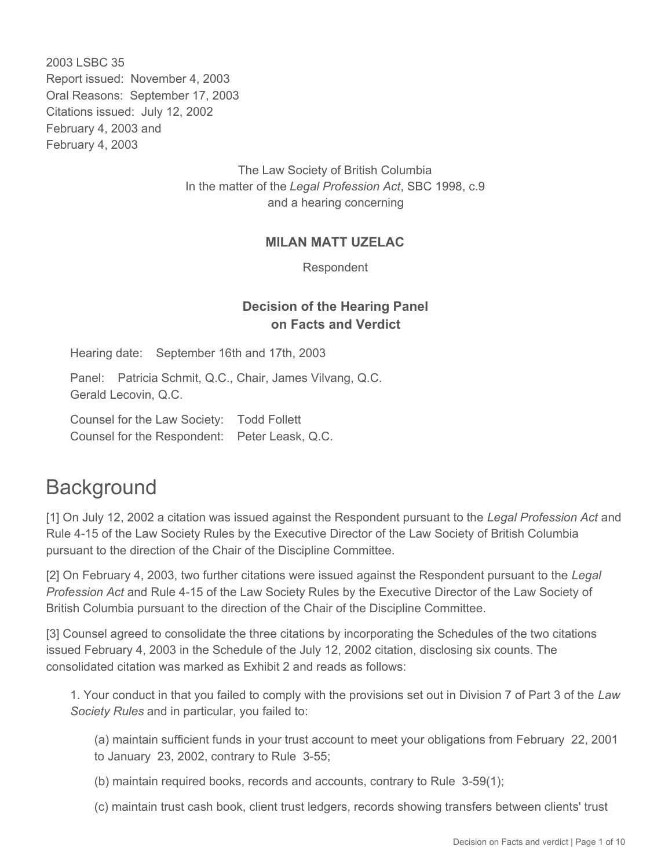2003 LSBC 35 Report issued: November 4, 2003 Oral Reasons: September 17, 2003 Citations issued: July 12, 2002 February 4, 2003 and February 4, 2003

> The Law Society of British Columbia In the matter of the *Legal Profession Act*, SBC 1998, c.9 and a hearing concerning

#### **MILAN MATT UZELAC**

Respondent

#### **Decision of the Hearing Panel on Facts and Verdict**

Hearing date: September 16th and 17th, 2003

Panel: Patricia Schmit, Q.C., Chair, James Vilvang, Q.C. Gerald Lecovin, Q.C.

Counsel for the Law Society: Todd Follett Counsel for the Respondent: Peter Leask, Q.C.

# **Background**

[1] On July 12, 2002 a citation was issued against the Respondent pursuant to the *Legal Profession Act* and Rule 4-15 of the Law Society Rules by the Executive Director of the Law Society of British Columbia pursuant to the direction of the Chair of the Discipline Committee.

[2] On February 4, 2003, two further citations were issued against the Respondent pursuant to the *Legal Profession Act* and Rule 4-15 of the Law Society Rules by the Executive Director of the Law Society of British Columbia pursuant to the direction of the Chair of the Discipline Committee.

[3] Counsel agreed to consolidate the three citations by incorporating the Schedules of the two citations issued February 4, 2003 in the Schedule of the July 12, 2002 citation, disclosing six counts. The consolidated citation was marked as Exhibit 2 and reads as follows:

1. Your conduct in that you failed to comply with the provisions set out in Division 7 of Part 3 of the *Law Society Rules* and in particular, you failed to:

(a) maintain sufficient funds in your trust account to meet your obligations from February 22, 2001 to January 23, 2002, contrary to Rule 3-55;

(b) maintain required books, records and accounts, contrary to Rule 3-59(1);

(c) maintain trust cash book, client trust ledgers, records showing transfers between clients' trust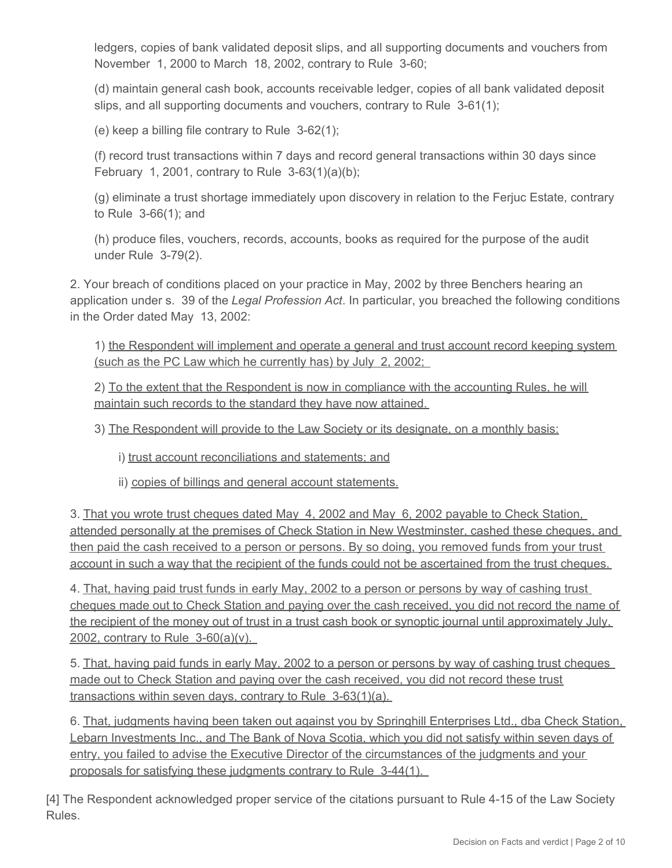ledgers, copies of bank validated deposit slips, and all supporting documents and vouchers from November 1, 2000 to March 18, 2002, contrary to Rule 3-60;

(d) maintain general cash book, accounts receivable ledger, copies of all bank validated deposit slips, and all supporting documents and vouchers, contrary to Rule 3-61(1);

(e) keep a billing file contrary to Rule 3-62(1);

(f) record trust transactions within 7 days and record general transactions within 30 days since February 1, 2001, contrary to Rule  $3-63(1)(a)(b)$ ;

(g) eliminate a trust shortage immediately upon discovery in relation to the Ferjuc Estate, contrary to Rule 3-66(1); and

(h) produce files, vouchers, records, accounts, books as required for the purpose of the audit under Rule 3-79(2).

2. Your breach of conditions placed on your practice in May, 2002 by three Benchers hearing an application under s. 39 of the *Legal Profession Act*. In particular, you breached the following conditions in the Order dated May 13, 2002:

1) the Respondent will implement and operate a general and trust account record keeping system (such as the PC Law which he currently has) by July 2, 2002;

2) To the extent that the Respondent is now in compliance with the accounting Rules, he will maintain such records to the standard they have now attained.

3) The Respondent will provide to the Law Society or its designate, on a monthly basis:

i) trust account reconciliations and statements; and

ii) copies of billings and general account statements.

3. That you wrote trust cheques dated May 4, 2002 and May 6, 2002 payable to Check Station, attended personally at the premises of Check Station in New Westminster, cashed these cheques, and then paid the cash received to a person or persons. By so doing, you removed funds from your trust account in such a way that the recipient of the funds could not be ascertained from the trust cheques.

4. That, having paid trust funds in early May, 2002 to a person or persons by way of cashing trust cheques made out to Check Station and paying over the cash received, you did not record the name of the recipient of the money out of trust in a trust cash book or synoptic journal until approximately July, 2002, contrary to Rule 3-60(a)(v).

5. That, having paid funds in early May, 2002 to a person or persons by way of cashing trust cheques made out to Check Station and paying over the cash received, you did not record these trust transactions within seven days, contrary to Rule 3-63(1)(a).

6. That, judgments having been taken out against you by Springhill Enterprises Ltd., dba Check Station, Lebarn Investments Inc., and The Bank of Nova Scotia, which you did not satisfy within seven days of entry, you failed to advise the Executive Director of the circumstances of the judgments and your proposals for satisfying these judgments contrary to Rule 3-44(1).

[4] The Respondent acknowledged proper service of the citations pursuant to Rule 4-15 of the Law Society Rules.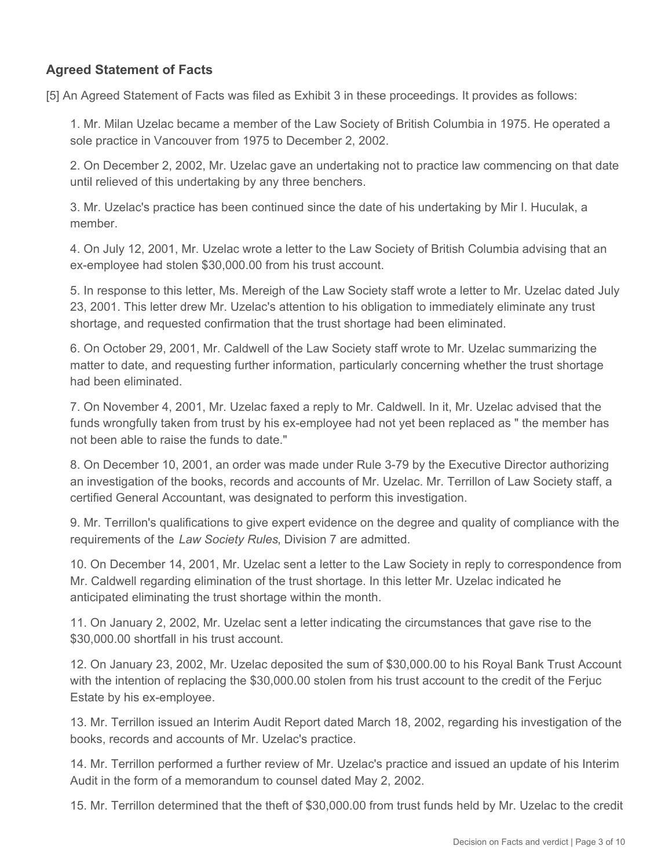### **Agreed Statement of Facts**

[5] An Agreed Statement of Facts was filed as Exhibit 3 in these proceedings. It provides as follows:

1. Mr. Milan Uzelac became a member of the Law Society of British Columbia in 1975. He operated a sole practice in Vancouver from 1975 to December 2, 2002.

2. On December 2, 2002, Mr. Uzelac gave an undertaking not to practice law commencing on that date until relieved of this undertaking by any three benchers.

3. Mr. Uzelac's practice has been continued since the date of his undertaking by Mir I. Huculak, a member.

4. On July 12, 2001, Mr. Uzelac wrote a letter to the Law Society of British Columbia advising that an ex-employee had stolen \$30,000.00 from his trust account.

5. In response to this letter, Ms. Mereigh of the Law Society staff wrote a letter to Mr. Uzelac dated July 23, 2001. This letter drew Mr. Uzelac's attention to his obligation to immediately eliminate any trust shortage, and requested confirmation that the trust shortage had been eliminated.

6. On October 29, 2001, Mr. Caldwell of the Law Society staff wrote to Mr. Uzelac summarizing the matter to date, and requesting further information, particularly concerning whether the trust shortage had been eliminated.

7. On November 4, 2001, Mr. Uzelac faxed a reply to Mr. Caldwell. In it, Mr. Uzelac advised that the funds wrongfully taken from trust by his ex-employee had not yet been replaced as " the member has not been able to raise the funds to date."

8. On December 10, 2001, an order was made under Rule 3-79 by the Executive Director authorizing an investigation of the books, records and accounts of Mr. Uzelac. Mr. Terrillon of Law Society staff, a certified General Accountant, was designated to perform this investigation.

9. Mr. Terrillon's qualifications to give expert evidence on the degree and quality of compliance with the requirements of the *Law Society Rules*, Division 7 are admitted.

10. On December 14, 2001, Mr. Uzelac sent a letter to the Law Society in reply to correspondence from Mr. Caldwell regarding elimination of the trust shortage. In this letter Mr. Uzelac indicated he anticipated eliminating the trust shortage within the month.

11. On January 2, 2002, Mr. Uzelac sent a letter indicating the circumstances that gave rise to the \$30,000.00 shortfall in his trust account.

12. On January 23, 2002, Mr. Uzelac deposited the sum of \$30,000.00 to his Royal Bank Trust Account with the intention of replacing the \$30,000.00 stolen from his trust account to the credit of the Ferjuc Estate by his ex-employee.

13. Mr. Terrillon issued an Interim Audit Report dated March 18, 2002, regarding his investigation of the books, records and accounts of Mr. Uzelac's practice.

14. Mr. Terrillon performed a further review of Mr. Uzelac's practice and issued an update of his Interim Audit in the form of a memorandum to counsel dated May 2, 2002.

15. Mr. Terrillon determined that the theft of \$30,000.00 from trust funds held by Mr. Uzelac to the credit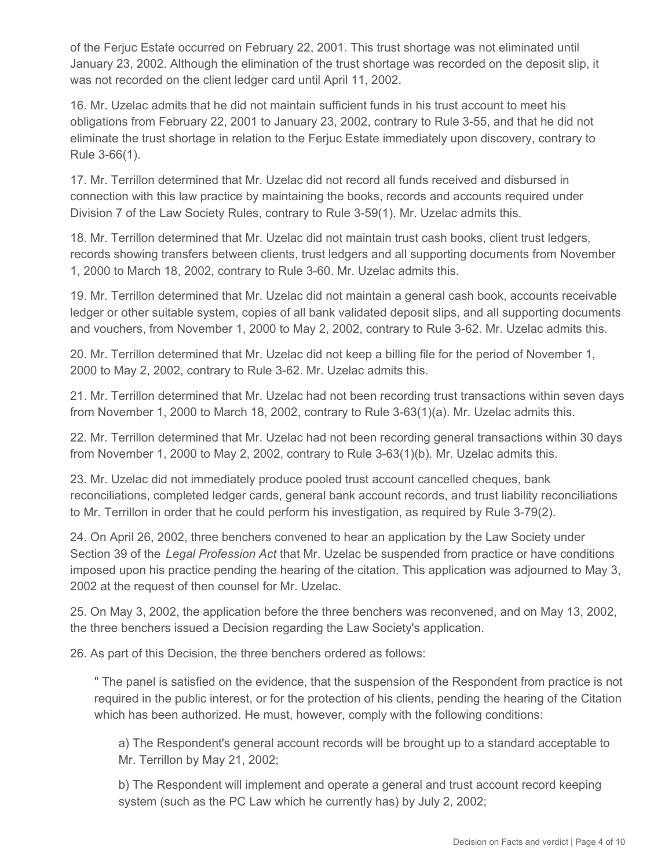of the Ferjuc Estate occurred on February 22, 2001. This trust shortage was not eliminated until January 23, 2002. Although the elimination of the trust shortage was recorded on the deposit slip, it was not recorded on the client ledger card until April 11, 2002.

16. Mr. Uzelac admits that he did not maintain sufficient funds in his trust account to meet his obligations from February 22, 2001 to January 23, 2002, contrary to Rule 3-55, and that he did not eliminate the trust shortage in relation to the Ferjuc Estate immediately upon discovery, contrary to Rule 3-66(1).

17. Mr. Terrillon determined that Mr. Uzelac did not record all funds received and disbursed in connection with this law practice by maintaining the books, records and accounts required under Division 7 of the Law Society Rules, contrary to Rule 3-59(1). Mr. Uzelac admits this.

18. Mr. Terrillon determined that Mr. Uzelac did not maintain trust cash books, client trust ledgers, records showing transfers between clients, trust ledgers and all supporting documents from November 1, 2000 to March 18, 2002, contrary to Rule 3-60. Mr. Uzelac admits this.

19. Mr. Terrillon determined that Mr. Uzelac did not maintain a general cash book, accounts receivable ledger or other suitable system, copies of all bank validated deposit slips, and all supporting documents and vouchers, from November 1, 2000 to May 2, 2002, contrary to Rule 3-62. Mr. Uzelac admits this.

20. Mr. Terrillon determined that Mr. Uzelac did not keep a billing file for the period of November 1, 2000 to May 2, 2002, contrary to Rule 3-62. Mr. Uzelac admits this.

21. Mr. Terrillon determined that Mr. Uzelac had not been recording trust transactions within seven days from November 1, 2000 to March 18, 2002, contrary to Rule 3-63(1)(a). Mr. Uzelac admits this.

22. Mr. Terrillon determined that Mr. Uzelac had not been recording general transactions within 30 days from November 1, 2000 to May 2, 2002, contrary to Rule 3-63(1)(b). Mr. Uzelac admits this.

23. Mr. Uzelac did not immediately produce pooled trust account cancelled cheques, bank reconciliations, completed ledger cards, general bank account records, and trust liability reconciliations to Mr. Terrillon in order that he could perform his investigation, as required by Rule 3-79(2).

24. On April 26, 2002, three benchers convened to hear an application by the Law Society under Section 39 of the *Legal Profession Act* that Mr. Uzelac be suspended from practice or have conditions imposed upon his practice pending the hearing of the citation. This application was adjourned to May 3, 2002 at the request of then counsel for Mr. Uzelac.

25. On May 3, 2002, the application before the three benchers was reconvened, and on May 13, 2002, the three benchers issued a Decision regarding the Law Society's application.

26. As part of this Decision, the three benchers ordered as follows:

" The panel is satisfied on the evidence, that the suspension of the Respondent from practice is not required in the public interest, or for the protection of his clients, pending the hearing of the Citation which has been authorized. He must, however, comply with the following conditions:

a) The Respondent's general account records will be brought up to a standard acceptable to Mr. Terrillon by May 21, 2002;

b) The Respondent will implement and operate a general and trust account record keeping system (such as the PC Law which he currently has) by July 2, 2002;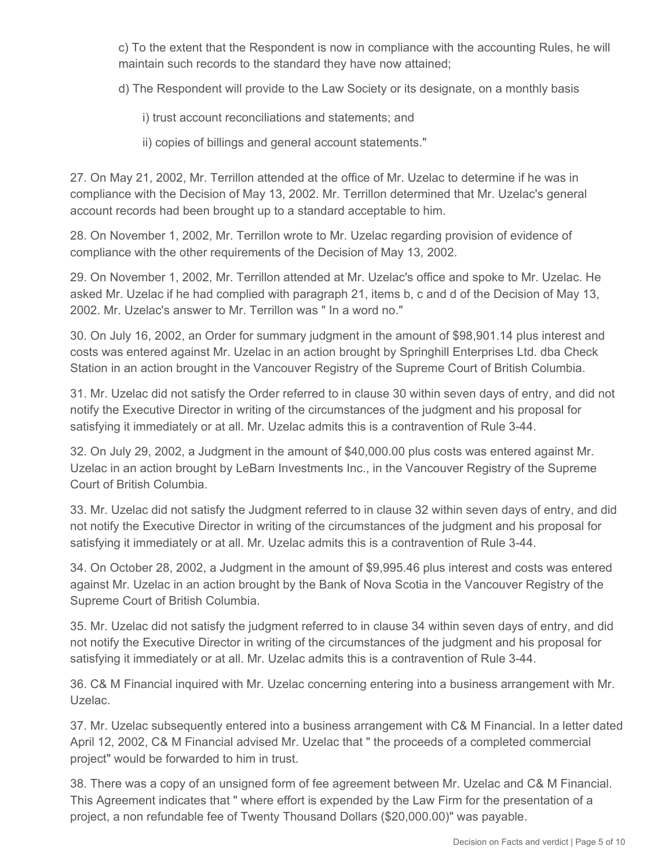c) To the extent that the Respondent is now in compliance with the accounting Rules, he will maintain such records to the standard they have now attained;

d) The Respondent will provide to the Law Society or its designate, on a monthly basis

i) trust account reconciliations and statements; and

ii) copies of billings and general account statements."

27. On May 21, 2002, Mr. Terrillon attended at the office of Mr. Uzelac to determine if he was in compliance with the Decision of May 13, 2002. Mr. Terrillon determined that Mr. Uzelac's general account records had been brought up to a standard acceptable to him.

28. On November 1, 2002, Mr. Terrillon wrote to Mr. Uzelac regarding provision of evidence of compliance with the other requirements of the Decision of May 13, 2002.

29. On November 1, 2002, Mr. Terrillon attended at Mr. Uzelac's office and spoke to Mr. Uzelac. He asked Mr. Uzelac if he had complied with paragraph 21, items b, c and d of the Decision of May 13, 2002. Mr. Uzelac's answer to Mr. Terrillon was " In a word no."

30. On July 16, 2002, an Order for summary judgment in the amount of \$98,901.14 plus interest and costs was entered against Mr. Uzelac in an action brought by Springhill Enterprises Ltd. dba Check Station in an action brought in the Vancouver Registry of the Supreme Court of British Columbia.

31. Mr. Uzelac did not satisfy the Order referred to in clause 30 within seven days of entry, and did not notify the Executive Director in writing of the circumstances of the judgment and his proposal for satisfying it immediately or at all. Mr. Uzelac admits this is a contravention of Rule 3-44.

32. On July 29, 2002, a Judgment in the amount of \$40,000.00 plus costs was entered against Mr. Uzelac in an action brought by LeBarn Investments Inc., in the Vancouver Registry of the Supreme Court of British Columbia.

33. Mr. Uzelac did not satisfy the Judgment referred to in clause 32 within seven days of entry, and did not notify the Executive Director in writing of the circumstances of the judgment and his proposal for satisfying it immediately or at all. Mr. Uzelac admits this is a contravention of Rule 3-44.

34. On October 28, 2002, a Judgment in the amount of \$9,995.46 plus interest and costs was entered against Mr. Uzelac in an action brought by the Bank of Nova Scotia in the Vancouver Registry of the Supreme Court of British Columbia.

35. Mr. Uzelac did not satisfy the judgment referred to in clause 34 within seven days of entry, and did not notify the Executive Director in writing of the circumstances of the judgment and his proposal for satisfying it immediately or at all. Mr. Uzelac admits this is a contravention of Rule 3-44.

36. C& M Financial inquired with Mr. Uzelac concerning entering into a business arrangement with Mr. Uzelac.

37. Mr. Uzelac subsequently entered into a business arrangement with C& M Financial. In a letter dated April 12, 2002, C& M Financial advised Mr. Uzelac that " the proceeds of a completed commercial project" would be forwarded to him in trust.

38. There was a copy of an unsigned form of fee agreement between Mr. Uzelac and C& M Financial. This Agreement indicates that " where effort is expended by the Law Firm for the presentation of a project, a non refundable fee of Twenty Thousand Dollars (\$20,000.00)" was payable.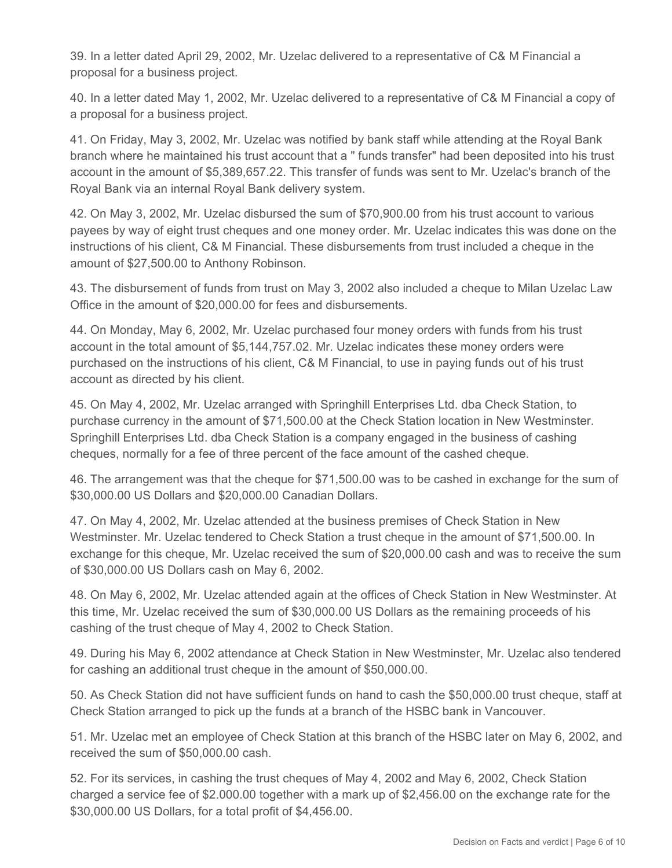39. In a letter dated April 29, 2002, Mr. Uzelac delivered to a representative of C& M Financial a proposal for a business project.

40. In a letter dated May 1, 2002, Mr. Uzelac delivered to a representative of C& M Financial a copy of a proposal for a business project.

41. On Friday, May 3, 2002, Mr. Uzelac was notified by bank staff while attending at the Royal Bank branch where he maintained his trust account that a " funds transfer" had been deposited into his trust account in the amount of \$5,389,657.22. This transfer of funds was sent to Mr. Uzelac's branch of the Royal Bank via an internal Royal Bank delivery system.

42. On May 3, 2002, Mr. Uzelac disbursed the sum of \$70,900.00 from his trust account to various payees by way of eight trust cheques and one money order. Mr. Uzelac indicates this was done on the instructions of his client, C& M Financial. These disbursements from trust included a cheque in the amount of \$27,500.00 to Anthony Robinson.

43. The disbursement of funds from trust on May 3, 2002 also included a cheque to Milan Uzelac Law Office in the amount of \$20,000.00 for fees and disbursements.

44. On Monday, May 6, 2002, Mr. Uzelac purchased four money orders with funds from his trust account in the total amount of \$5,144,757.02. Mr. Uzelac indicates these money orders were purchased on the instructions of his client, C& M Financial, to use in paying funds out of his trust account as directed by his client.

45. On May 4, 2002, Mr. Uzelac arranged with Springhill Enterprises Ltd. dba Check Station, to purchase currency in the amount of \$71,500.00 at the Check Station location in New Westminster. Springhill Enterprises Ltd. dba Check Station is a company engaged in the business of cashing cheques, normally for a fee of three percent of the face amount of the cashed cheque.

46. The arrangement was that the cheque for \$71,500.00 was to be cashed in exchange for the sum of \$30,000.00 US Dollars and \$20,000.00 Canadian Dollars.

47. On May 4, 2002, Mr. Uzelac attended at the business premises of Check Station in New Westminster. Mr. Uzelac tendered to Check Station a trust cheque in the amount of \$71,500.00. In exchange for this cheque, Mr. Uzelac received the sum of \$20,000.00 cash and was to receive the sum of \$30,000.00 US Dollars cash on May 6, 2002.

48. On May 6, 2002, Mr. Uzelac attended again at the offices of Check Station in New Westminster. At this time, Mr. Uzelac received the sum of \$30,000.00 US Dollars as the remaining proceeds of his cashing of the trust cheque of May 4, 2002 to Check Station.

49. During his May 6, 2002 attendance at Check Station in New Westminster, Mr. Uzelac also tendered for cashing an additional trust cheque in the amount of \$50,000.00.

50. As Check Station did not have sufficient funds on hand to cash the \$50,000.00 trust cheque, staff at Check Station arranged to pick up the funds at a branch of the HSBC bank in Vancouver.

51. Mr. Uzelac met an employee of Check Station at this branch of the HSBC later on May 6, 2002, and received the sum of \$50,000.00 cash.

52. For its services, in cashing the trust cheques of May 4, 2002 and May 6, 2002, Check Station charged a service fee of \$2.000.00 together with a mark up of \$2,456.00 on the exchange rate for the \$30,000.00 US Dollars, for a total profit of \$4,456.00.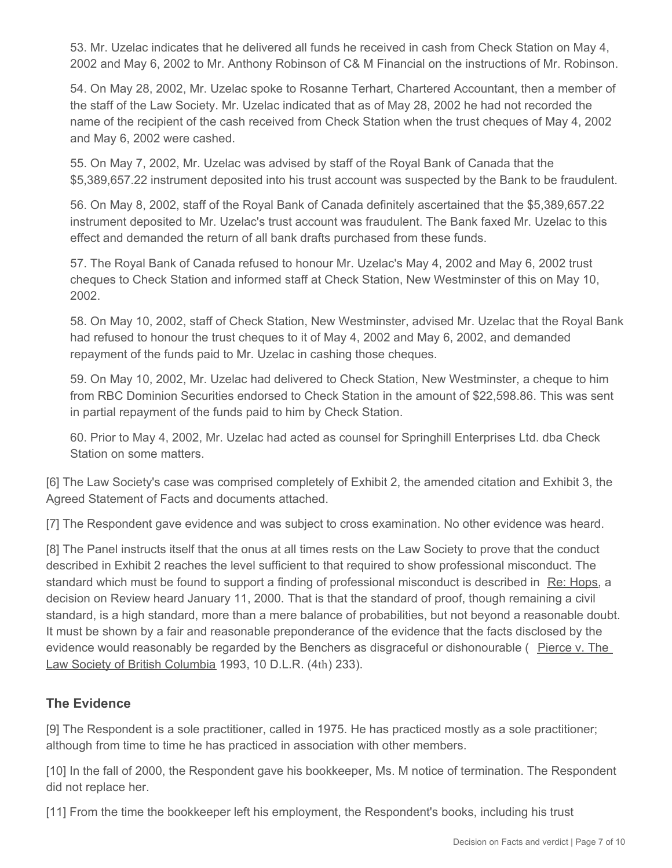53. Mr. Uzelac indicates that he delivered all funds he received in cash from Check Station on May 4, 2002 and May 6, 2002 to Mr. Anthony Robinson of C& M Financial on the instructions of Mr. Robinson.

54. On May 28, 2002, Mr. Uzelac spoke to Rosanne Terhart, Chartered Accountant, then a member of the staff of the Law Society. Mr. Uzelac indicated that as of May 28, 2002 he had not recorded the name of the recipient of the cash received from Check Station when the trust cheques of May 4, 2002 and May 6, 2002 were cashed.

55. On May 7, 2002, Mr. Uzelac was advised by staff of the Royal Bank of Canada that the \$5,389,657.22 instrument deposited into his trust account was suspected by the Bank to be fraudulent.

56. On May 8, 2002, staff of the Royal Bank of Canada definitely ascertained that the \$5,389,657.22 instrument deposited to Mr. Uzelac's trust account was fraudulent. The Bank faxed Mr. Uzelac to this effect and demanded the return of all bank drafts purchased from these funds.

57. The Royal Bank of Canada refused to honour Mr. Uzelac's May 4, 2002 and May 6, 2002 trust cheques to Check Station and informed staff at Check Station, New Westminster of this on May 10, 2002.

58. On May 10, 2002, staff of Check Station, New Westminster, advised Mr. Uzelac that the Royal Bank had refused to honour the trust cheques to it of May 4, 2002 and May 6, 2002, and demanded repayment of the funds paid to Mr. Uzelac in cashing those cheques.

59. On May 10, 2002, Mr. Uzelac had delivered to Check Station, New Westminster, a cheque to him from RBC Dominion Securities endorsed to Check Station in the amount of \$22,598.86. This was sent in partial repayment of the funds paid to him by Check Station.

60. Prior to May 4, 2002, Mr. Uzelac had acted as counsel for Springhill Enterprises Ltd. dba Check Station on some matters.

[6] The Law Society's case was comprised completely of Exhibit 2, the amended citation and Exhibit 3, the Agreed Statement of Facts and documents attached.

[7] The Respondent gave evidence and was subject to cross examination. No other evidence was heard.

[8] The Panel instructs itself that the onus at all times rests on the Law Society to prove that the conduct described in Exhibit 2 reaches the level sufficient to that required to show professional misconduct. The standard which must be found to support a finding of professional misconduct is described in Re: Hops, a decision on Review heard January 11, 2000. That is that the standard of proof, though remaining a civil standard, is a high standard, more than a mere balance of probabilities, but not beyond a reasonable doubt. It must be shown by a fair and reasonable preponderance of the evidence that the facts disclosed by the evidence would reasonably be regarded by the Benchers as disgraceful or dishonourable ( Pierce v. The Law Society of British Columbia 1993, 10 D.L.R. (4th) 233).

#### **The Evidence**

[9] The Respondent is a sole practitioner, called in 1975. He has practiced mostly as a sole practitioner; although from time to time he has practiced in association with other members.

[10] In the fall of 2000, the Respondent gave his bookkeeper, Ms. M notice of termination. The Respondent did not replace her.

[11] From the time the bookkeeper left his employment, the Respondent's books, including his trust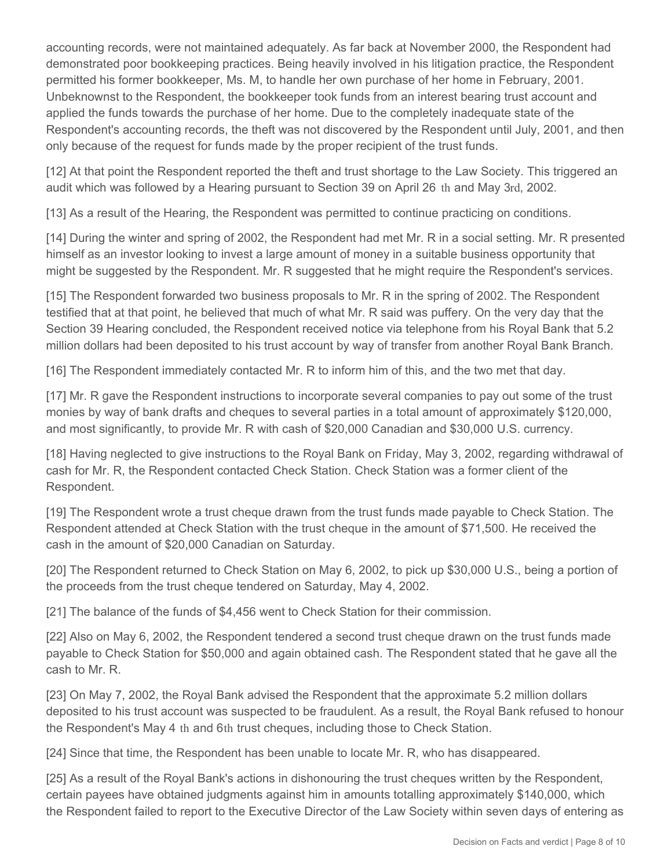accounting records, were not maintained adequately. As far back at November 2000, the Respondent had demonstrated poor bookkeeping practices. Being heavily involved in his litigation practice, the Respondent permitted his former bookkeeper, Ms. M, to handle her own purchase of her home in February, 2001. Unbeknownst to the Respondent, the bookkeeper took funds from an interest bearing trust account and applied the funds towards the purchase of her home. Due to the completely inadequate state of the Respondent's accounting records, the theft was not discovered by the Respondent until July, 2001, and then only because of the request for funds made by the proper recipient of the trust funds.

[12] At that point the Respondent reported the theft and trust shortage to the Law Society. This triggered an audit which was followed by a Hearing pursuant to Section 39 on April 26 th and May 3rd, 2002.

[13] As a result of the Hearing, the Respondent was permitted to continue practicing on conditions.

[14] During the winter and spring of 2002, the Respondent had met Mr. R in a social setting. Mr. R presented himself as an investor looking to invest a large amount of money in a suitable business opportunity that might be suggested by the Respondent. Mr. R suggested that he might require the Respondent's services.

[15] The Respondent forwarded two business proposals to Mr. R in the spring of 2002. The Respondent testified that at that point, he believed that much of what Mr. R said was puffery. On the very day that the Section 39 Hearing concluded, the Respondent received notice via telephone from his Royal Bank that 5.2 million dollars had been deposited to his trust account by way of transfer from another Royal Bank Branch.

[16] The Respondent immediately contacted Mr. R to inform him of this, and the two met that day.

[17] Mr. R gave the Respondent instructions to incorporate several companies to pay out some of the trust monies by way of bank drafts and cheques to several parties in a total amount of approximately \$120,000, and most significantly, to provide Mr. R with cash of \$20,000 Canadian and \$30,000 U.S. currency.

[18] Having neglected to give instructions to the Royal Bank on Friday, May 3, 2002, regarding withdrawal of cash for Mr. R, the Respondent contacted Check Station. Check Station was a former client of the Respondent.

[19] The Respondent wrote a trust cheque drawn from the trust funds made payable to Check Station. The Respondent attended at Check Station with the trust cheque in the amount of \$71,500. He received the cash in the amount of \$20,000 Canadian on Saturday.

[20] The Respondent returned to Check Station on May 6, 2002, to pick up \$30,000 U.S., being a portion of the proceeds from the trust cheque tendered on Saturday, May 4, 2002.

[21] The balance of the funds of \$4,456 went to Check Station for their commission.

[22] Also on May 6, 2002, the Respondent tendered a second trust cheque drawn on the trust funds made payable to Check Station for \$50,000 and again obtained cash. The Respondent stated that he gave all the cash to Mr. R.

[23] On May 7, 2002, the Royal Bank advised the Respondent that the approximate 5.2 million dollars deposited to his trust account was suspected to be fraudulent. As a result, the Royal Bank refused to honour the Respondent's May 4 th and 6th trust cheques, including those to Check Station.

[24] Since that time, the Respondent has been unable to locate Mr. R, who has disappeared.

[25] As a result of the Royal Bank's actions in dishonouring the trust cheques written by the Respondent, certain payees have obtained judgments against him in amounts totalling approximately \$140,000, which the Respondent failed to report to the Executive Director of the Law Society within seven days of entering as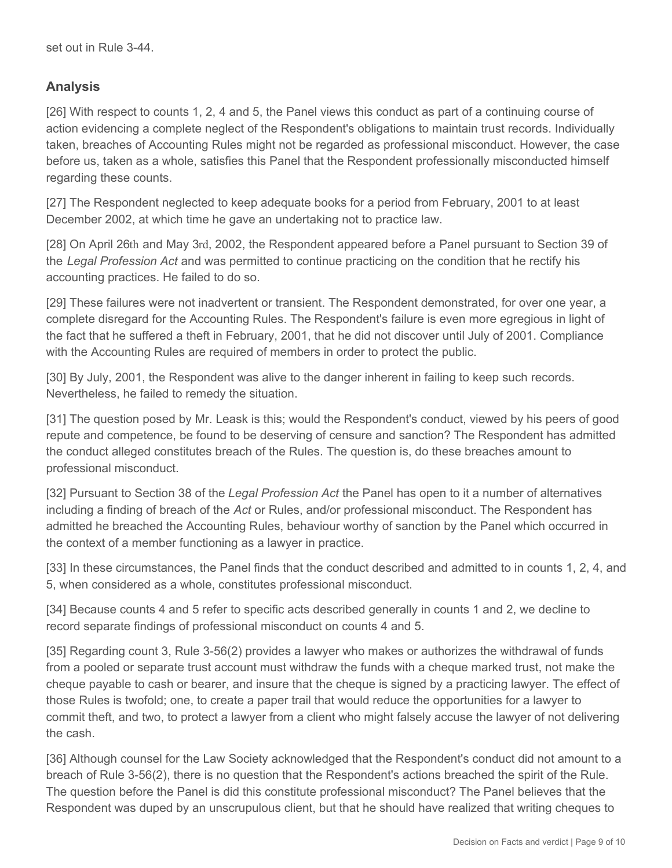## **Analysis**

[26] With respect to counts 1, 2, 4 and 5, the Panel views this conduct as part of a continuing course of action evidencing a complete neglect of the Respondent's obligations to maintain trust records. Individually taken, breaches of Accounting Rules might not be regarded as professional misconduct. However, the case before us, taken as a whole, satisfies this Panel that the Respondent professionally misconducted himself regarding these counts.

[27] The Respondent neglected to keep adequate books for a period from February, 2001 to at least December 2002, at which time he gave an undertaking not to practice law.

[28] On April 26th and May 3rd, 2002, the Respondent appeared before a Panel pursuant to Section 39 of the *Legal Profession Act* and was permitted to continue practicing on the condition that he rectify his accounting practices. He failed to do so.

[29] These failures were not inadvertent or transient. The Respondent demonstrated, for over one year, a complete disregard for the Accounting Rules. The Respondent's failure is even more egregious in light of the fact that he suffered a theft in February, 2001, that he did not discover until July of 2001. Compliance with the Accounting Rules are required of members in order to protect the public.

[30] By July, 2001, the Respondent was alive to the danger inherent in failing to keep such records. Nevertheless, he failed to remedy the situation.

[31] The question posed by Mr. Leask is this; would the Respondent's conduct, viewed by his peers of good repute and competence, be found to be deserving of censure and sanction? The Respondent has admitted the conduct alleged constitutes breach of the Rules. The question is, do these breaches amount to professional misconduct.

[32] Pursuant to Section 38 of the *Legal Profession Act* the Panel has open to it a number of alternatives including a finding of breach of the *Act* or Rules, and/or professional misconduct. The Respondent has admitted he breached the Accounting Rules, behaviour worthy of sanction by the Panel which occurred in the context of a member functioning as a lawyer in practice.

[33] In these circumstances, the Panel finds that the conduct described and admitted to in counts 1, 2, 4, and 5, when considered as a whole, constitutes professional misconduct.

[34] Because counts 4 and 5 refer to specific acts described generally in counts 1 and 2, we decline to record separate findings of professional misconduct on counts 4 and 5.

[35] Regarding count 3, Rule 3-56(2) provides a lawyer who makes or authorizes the withdrawal of funds from a pooled or separate trust account must withdraw the funds with a cheque marked trust, not make the cheque payable to cash or bearer, and insure that the cheque is signed by a practicing lawyer. The effect of those Rules is twofold; one, to create a paper trail that would reduce the opportunities for a lawyer to commit theft, and two, to protect a lawyer from a client who might falsely accuse the lawyer of not delivering the cash.

[36] Although counsel for the Law Society acknowledged that the Respondent's conduct did not amount to a breach of Rule 3-56(2), there is no question that the Respondent's actions breached the spirit of the Rule. The question before the Panel is did this constitute professional misconduct? The Panel believes that the Respondent was duped by an unscrupulous client, but that he should have realized that writing cheques to